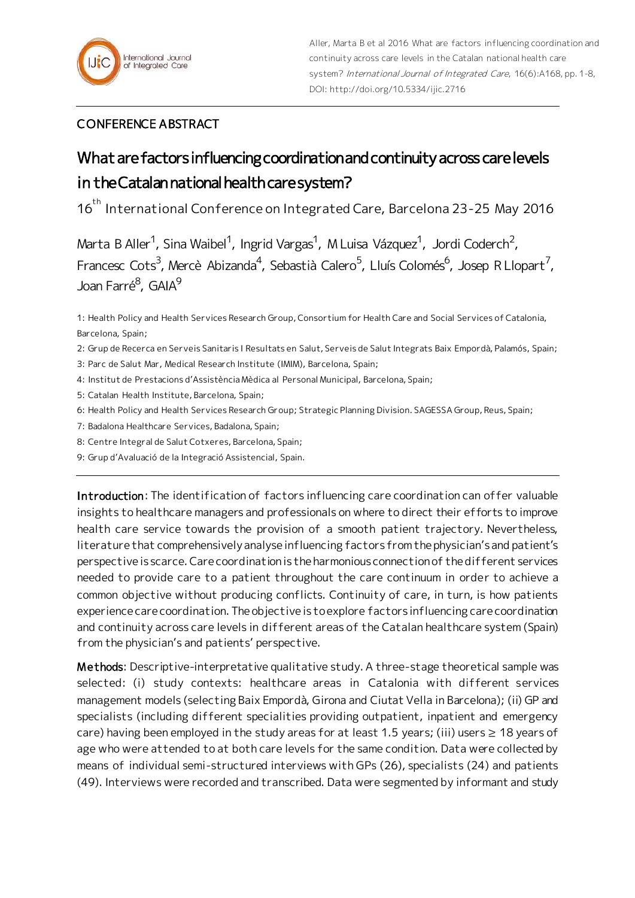

## CONFERENCE ABSTRACT

## What are factors influencing coordination and continuity across care levels in the Catalan national health care system?

16<sup>th</sup> International Conference on Integrated Care, Barcelona 23-25 May 2016

Marta B Aller<sup>1</sup>, Sina Waibel<sup>1</sup>, Ingrid Vargas<sup>1</sup>, M Luisa Vázquez<sup>1</sup>, Jordi Coderch<sup>2</sup>, Francesc Cots<sup>3</sup>, Mercè Abizanda<sup>4</sup>, Sebastià Calero<sup>5</sup>, Lluís Colomés<sup>6</sup>, Josep R Llopart<sup>7</sup>, Joan Farré<sup>8</sup>, GAIA<sup>9</sup>

1: Health Policy and Health Services Research Group, Consortium for Health Care and Social Services of Catalonia, Barcelona, Spain;

2: Grup de Recerca en Serveis Sanitaris I Resultats en Salut, Serveis de Salut Integrats Baix Empordà, Palamós, Spain;

3: Parc de Salut Mar, Medical Research Institute (IMIM), Barcelona, Spain;

- 4: Institut de Prestacions d'Assistència Mèdica al Personal Municipal, Barcelona, Spain;
- 5: Catalan Health Institute, Barcelona, Spain;
- 6: Health Policy and Health Services Research Group; Strategic Planning Division. SAGESSA Group, Reus, Spain;
- 7: Badalona Healthcare Services, Badalona, Spain;
- 8: Centre Integral de Salut Cotxeres, Barcelona, Spain;
- 9: Grup d'Avaluació de la Integració Assistencial, Spain.

Introduction: The identification of factors influencing care coordination can offer valuable insights to healthcare managers and professionals on where to direct their efforts to improve health care service towards the provision of a smooth patient trajectory. Nevertheless, literature that comprehensively analyse influencing factors from the physician's and patient's perspective is scarce. Care coordination is the harmonious connection of the different services needed to provide care to a patient throughout the care continuum in order to achieve a common objective without producing conflicts. Continuity of care, in turn, is how patients experience care coordination. The objective is to explore factors influencing care coordination and continuity across care levels in different areas of the Catalan healthcare system (Spain) from the physician's and patients' perspective.

Methods: Descriptive-interpretative qualitative study. A three-stage theoretical sample was selected: (i) study contexts: healthcare areas in Catalonia with different services management models (selecting Baix Empordà, Girona and Ciutat Vella in Barcelona); (ii) GP and specialists (including different specialities providing outpatient, inpatient and emergency care) having been employed in the study areas for at least 1.5 years; (iii) users  $\geq 18$  years of age who were attended to at both care levels for the same condition. Data were collected by means of individual semi-structured interviews with GPs (26), specialists (24) and patients (49). Interviews were recorded and transcribed. Data were segmented by informant and study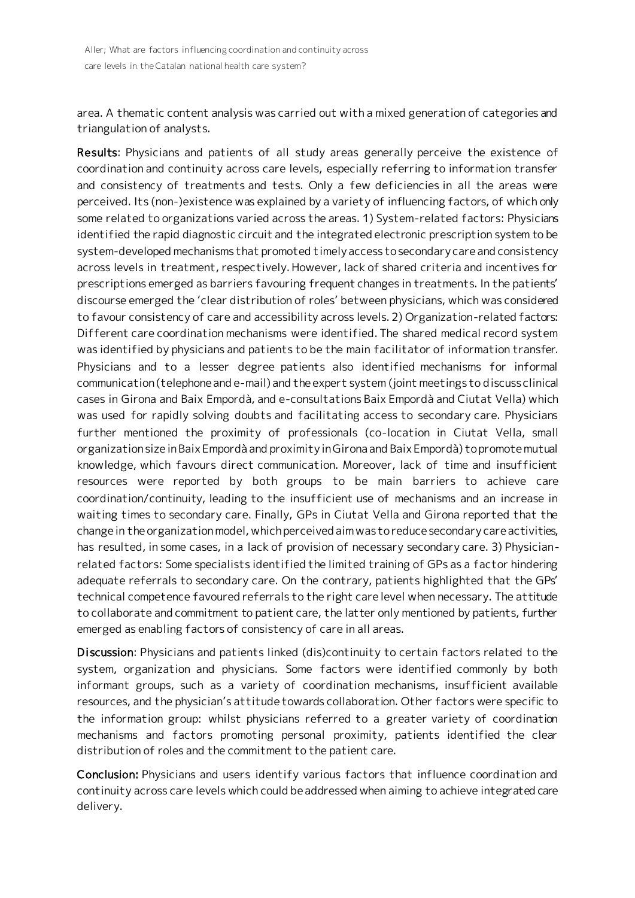area. A thematic content analysis was carried out with a mixed generation of categories and triangulation of analysts.

Results: Physicians and patients of all study areas generally perceive the existence of coordination and continuity across care levels, especially referring to information transfer and consistency of treatments and tests. Only a few deficiencies in all the areas were perceived. Its (non-)existence was explained by a variety of influencing factors, of which only some related to organizations varied across the areas. 1) System-related factors: Physicians identified the rapid diagnostic circuit and the integrated electronic prescription system to be system-developed mechanisms that promoted timely access to secondary care and consistency across levels in treatment, respectively. However, lack of shared criteria and incentives for prescriptions emerged as barriers favouring frequent changes in treatments. In the patients' discourse emerged the 'clear distribution of roles' between physicians, which was considered to favour consistency of care and accessibility across levels. 2) Organization-related factors: Different care coordination mechanisms were identified. The shared medical record system was identified by physicians and patients to be the main facilitator of information transfer. Physicians and to a lesser degree patients also identified mechanisms for informal communication (telephone and e-mail) and the expert system (joint meetings to discuss clinical cases in Girona and Baix Empordà, and e-consultations Baix Empordà and Ciutat Vella) which was used for rapidly solving doubts and facilitating access to secondary care. Physicians further mentioned the proximity of professionals (co-location in Ciutat Vella, small organization size in Baix Empordà and proximity in Girona and Baix Empordà) to promote mutual knowledge, which favours direct communication. Moreover, lack of time and insufficient resources were reported by both groups to be main barriers to achieve care coordination/continuity, leading to the insufficient use of mechanisms and an increase in waiting times to secondary care. Finally, GPs in Ciutat Vella and Girona reported that the change in the organization model, which perceived aim was to reduce secondary care activities, has resulted, in some cases, in a lack of provision of necessary secondary care. 3) Physicianrelated factors: Some specialists identified the limited training of GPs as a factor hindering adequate referrals to secondary care. On the contrary, patients highlighted that the GPs' technical competence favoured referrals to the right care level when necessary. The attitude to collaborate and commitment to patient care, the latter only mentioned by patients, further emerged as enabling factors of consistency of care in all areas.

Discussion: Physicians and patients linked (dis)continuity to certain factors related to the system, organization and physicians. Some factors were identified commonly by both informant groups, such as a variety of coordination mechanisms, insufficient available resources, and the physician's attitude towards collaboration. Other factors were specific to the information group: whilst physicians referred to a greater variety of coordination mechanisms and factors promoting personal proximity, patients identified the clear distribution of roles and the commitment to the patient care.

Conclusion: Physicians and users identify various factors that influence coordination and continuity across care levels which could be addressed when aiming to achieve integrated care delivery.